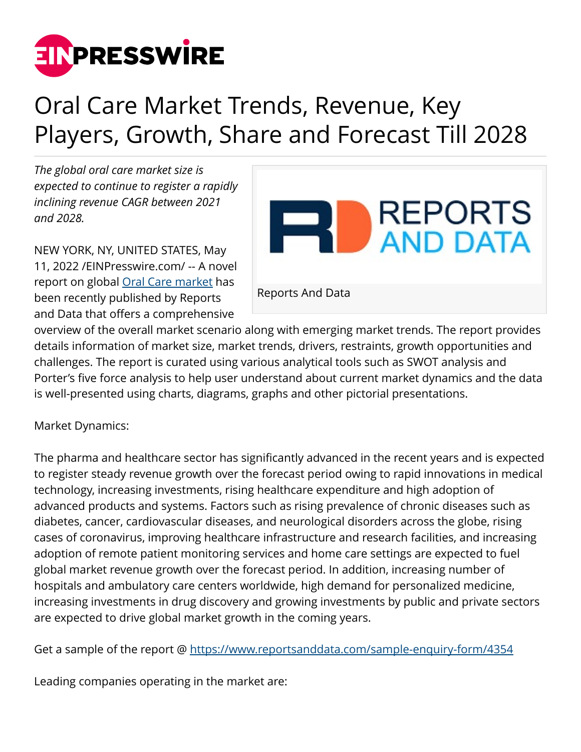

## Oral Care Market Trends, Revenue, Key Players, Growth, Share and Forecast Till 2028

*The global oral care market size is expected to continue to register a rapidly inclining revenue CAGR between 2021 and 2028.*

NEW YORK, NY, UNITED STATES, May 11, 2022 /[EINPresswire.com/](http://www.einpresswire.com) -- A novel report on global [Oral Care market](https://www.reportsanddata.com/report-detail/oral-care-market) has been recently published by Reports and Data that offers a comprehensive



overview of the overall market scenario along with emerging market trends. The report provides details information of market size, market trends, drivers, restraints, growth opportunities and challenges. The report is curated using various analytical tools such as SWOT analysis and Porter's five force analysis to help user understand about current market dynamics and the data is well-presented using charts, diagrams, graphs and other pictorial presentations.

Market Dynamics:

The pharma and healthcare sector has significantly advanced in the recent years and is expected to register steady revenue growth over the forecast period owing to rapid innovations in medical technology, increasing investments, rising healthcare expenditure and high adoption of advanced products and systems. Factors such as rising prevalence of chronic diseases such as diabetes, cancer, cardiovascular diseases, and neurological disorders across the globe, rising cases of coronavirus, improving healthcare infrastructure and research facilities, and increasing adoption of remote patient monitoring services and home care settings are expected to fuel global market revenue growth over the forecast period. In addition, increasing number of hospitals and ambulatory care centers worldwide, high demand for personalized medicine, increasing investments in drug discovery and growing investments by public and private sectors are expected to drive global market growth in the coming years.

Get a sample of the report @<https://www.reportsanddata.com/sample-enquiry-form/4354>

Leading companies operating in the market are: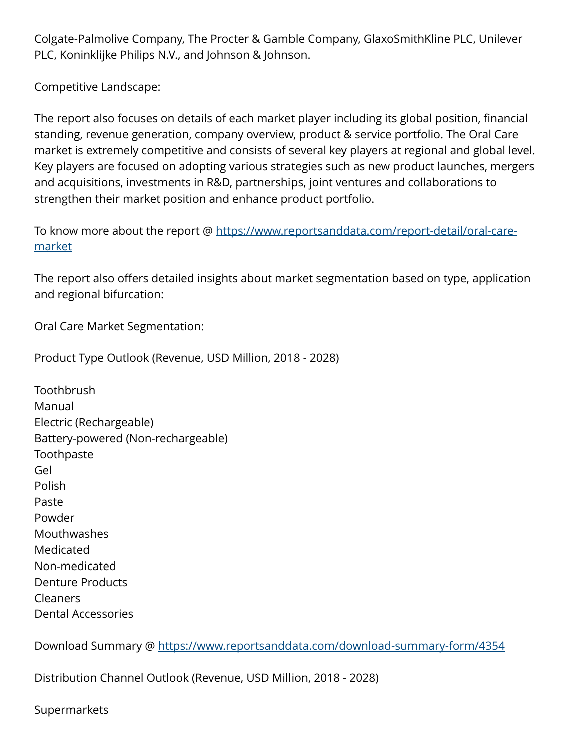Colgate-Palmolive Company, The Procter & Gamble Company, GlaxoSmithKline PLC, Unilever PLC, Koninklijke Philips N.V., and Johnson & Johnson.

Competitive Landscape:

The report also focuses on details of each market player including its global position, financial standing, revenue generation, company overview, product & service portfolio. The Oral Care market is extremely competitive and consists of several key players at regional and global level. Key players are focused on adopting various strategies such as new product launches, mergers and acquisitions, investments in R&D, partnerships, joint ventures and collaborations to strengthen their market position and enhance product portfolio.

To know more about the report @ [https://www.reportsanddata.com/report-detail/oral-care](https://www.reportsanddata.com/report-detail/oral-care-market)[market](https://www.reportsanddata.com/report-detail/oral-care-market)

The report also offers detailed insights about market segmentation based on type, application and regional bifurcation:

Oral Care Market Segmentation:

Product Type Outlook (Revenue, USD Million, 2018 - 2028)

**Toothbrush** Manual Electric (Rechargeable) Battery-powered (Non-rechargeable) Toothpaste Gel Polish Paste Powder **Mouthwashes** Medicated Non-medicated Denture Products Cleaners Dental Accessories

Download Summary @ <https://www.reportsanddata.com/download-summary-form/4354>

Distribution Channel Outlook (Revenue, USD Million, 2018 - 2028)

Supermarkets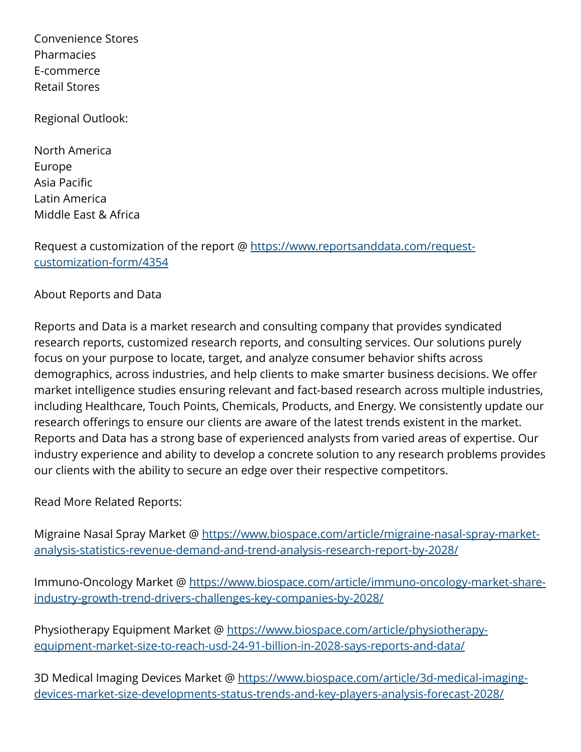Convenience Stores Pharmacies E-commerce Retail Stores

Regional Outlook:

North America Europe Asia Pacific Latin America Middle East & Africa

Request a customization of the report @ [https://www.reportsanddata.com/request](https://www.reportsanddata.com/request-customization-form/4354)[customization-form/4354](https://www.reportsanddata.com/request-customization-form/4354)

About Reports and Data

Reports and Data is a market research and consulting company that provides syndicated research reports, customized research reports, and consulting services. Our solutions purely focus on your purpose to locate, target, and analyze consumer behavior shifts across demographics, across industries, and help clients to make smarter business decisions. We offer market intelligence studies ensuring relevant and fact-based research across multiple industries, including Healthcare, Touch Points, Chemicals, Products, and Energy. We consistently update our research offerings to ensure our clients are aware of the latest trends existent in the market. Reports and Data has a strong base of experienced analysts from varied areas of expertise. Our industry experience and ability to develop a concrete solution to any research problems provides our clients with the ability to secure an edge over their respective competitors.

Read More Related Reports:

Migraine Nasal Spray Market @ [https://www.biospace.com/article/migraine-nasal-spray-market](https://www.biospace.com/article/migraine-nasal-spray-market-analysis-statistics-revenue-demand-and-trend-analysis-research-report-by-2028/)[analysis-statistics-revenue-demand-and-trend-analysis-research-report-by-2028/](https://www.biospace.com/article/migraine-nasal-spray-market-analysis-statistics-revenue-demand-and-trend-analysis-research-report-by-2028/)

Immuno-Oncology Market @ [https://www.biospace.com/article/immuno-oncology-market-share](https://www.biospace.com/article/immuno-oncology-market-share-industry-growth-trend-drivers-challenges-key-companies-by-2028/)[industry-growth-trend-drivers-challenges-key-companies-by-2028/](https://www.biospace.com/article/immuno-oncology-market-share-industry-growth-trend-drivers-challenges-key-companies-by-2028/)

Physiotherapy Equipment Market @ [https://www.biospace.com/article/physiotherapy](https://www.biospace.com/article/physiotherapy-equipment-market-size-to-reach-usd-24-91-billion-in-2028-says-reports-and-data/)[equipment-market-size-to-reach-usd-24-91-billion-in-2028-says-reports-and-data/](https://www.biospace.com/article/physiotherapy-equipment-market-size-to-reach-usd-24-91-billion-in-2028-says-reports-and-data/)

3D Medical Imaging Devices Market @ [https://www.biospace.com/article/3d-medical-imaging](https://www.biospace.com/article/3d-medical-imaging-devices-market-size-developments-status-trends-and-key-players-analysis-forecast-2028/)[devices-market-size-developments-status-trends-and-key-players-analysis-forecast-2028/](https://www.biospace.com/article/3d-medical-imaging-devices-market-size-developments-status-trends-and-key-players-analysis-forecast-2028/)